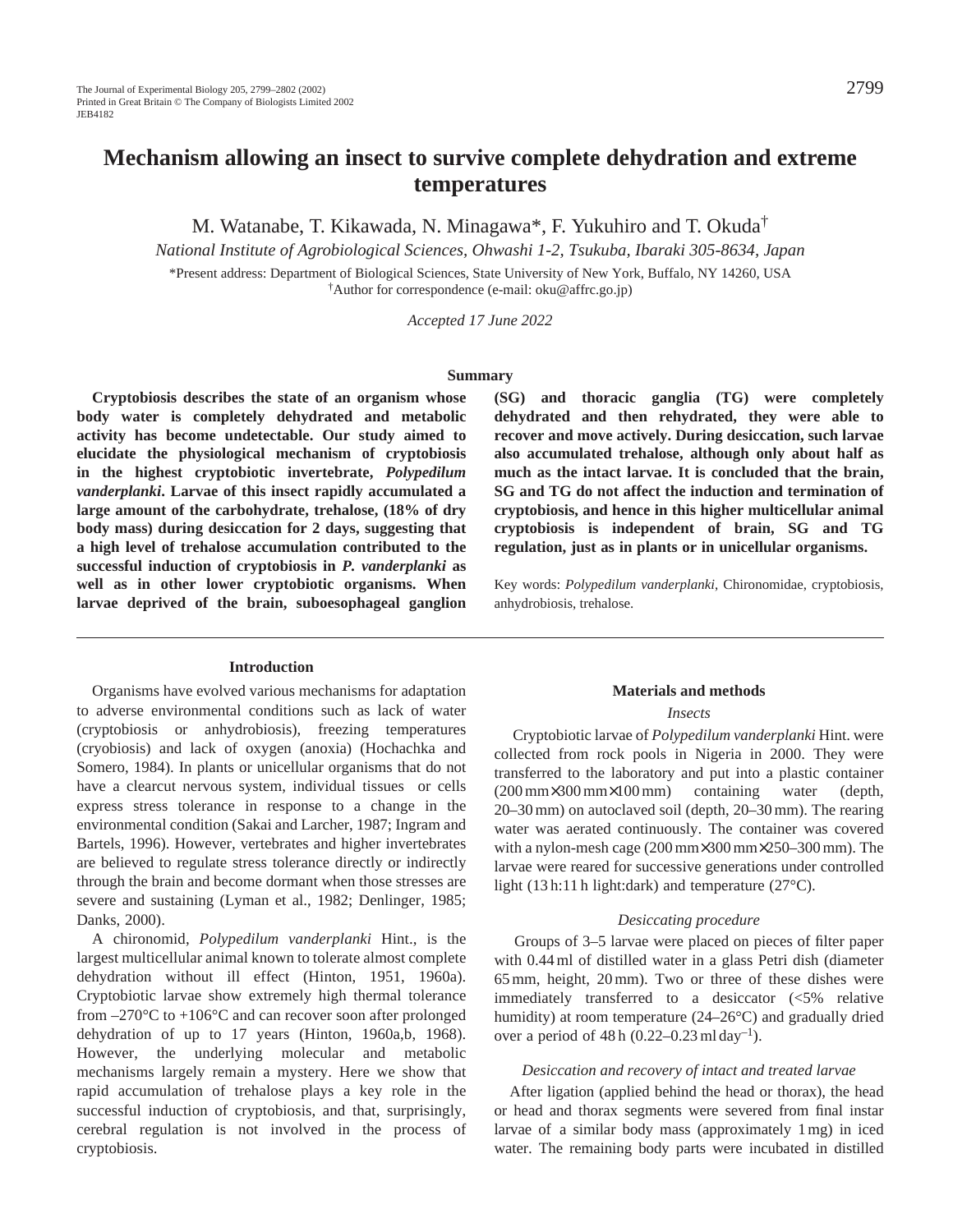M. Watanabe, T. Kikawada, N. Minagawa\*, F. Yukuhiro and T. Okuda†

*National Institute of Agrobiological Sciences, Ohwashi 1-2, Tsukuba, Ibaraki 305-8634, Japan*

\*Present address: Department of Biological Sciences, State University of New York, Buffalo, NY 14260, USA †Author for correspondence (e-mail: oku@affrc.go.jp)

*Accepted 17 June 2022* 

#### **Summary**

**Cryptobiosis describes the state of an organism whose body water is completely dehydrated and metabolic activity has become undetectable. Our study aimed to elucidate the physiological mechanism of cryptobiosis in the highest cryptobiotic invertebrate,** *Polypedilum vanderplanki***. Larvae of this insect rapidly accumulated a large amount of the carbohydrate, trehalose, (18% of dry body mass) during desiccation for 2 days, suggesting that a high level of trehalose accumulation contributed to the successful induction of cryptobiosis in** *P. vanderplanki* **as well as in other lower cryptobiotic organisms. When larvae deprived of the brain, suboesophageal ganglion**

## **Introduction**

Organisms have evolved various mechanisms for adaptation to adverse environmental conditions such as lack of water (cryptobiosis or anhydrobiosis), freezing temperatures (cryobiosis) and lack of oxygen (anoxia) (Hochachka and Somero, 1984). In plants or unicellular organisms that do not have a clearcut nervous system, individual tissues or cells express stress tolerance in response to a change in the environmental condition (Sakai and Larcher, 1987; Ingram and Bartels, 1996). However, vertebrates and higher invertebrates are believed to regulate stress tolerance directly or indirectly through the brain and become dormant when those stresses are severe and sustaining (Lyman et al., 1982; Denlinger, 1985; Danks, 2000).

A chironomid, *Polypedilum vanderplanki* Hint., is the largest multicellular animal known to tolerate almost complete dehydration without ill effect (Hinton, 1951, 1960a). Cryptobiotic larvae show extremely high thermal tolerance from  $-270^{\circ}$ C to  $+106^{\circ}$ C and can recover soon after prolonged dehydration of up to 17 years (Hinton, 1960a,b, 1968). However, the underlying molecular and metabolic mechanisms largely remain a mystery. Here we show that rapid accumulation of trehalose plays a key role in the successful induction of cryptobiosis, and that, surprisingly, cerebral regulation is not involved in the process of cryptobiosis.

**(SG) and thoracic ganglia (TG) were completely dehydrated and then rehydrated, they were able to recover and move actively. During desiccation, such larvae also accumulated trehalose, although only about half as much as the intact larvae. It is concluded that the brain, SG and TG do not affect the induction and termination of cryptobiosis, and hence in this higher multicellular animal cryptobiosis is independent of brain, SG and TG regulation, just as in plants or in unicellular organisms.**

Key words: *Polypedilum vanderplanki*, Chironomidae, cryptobiosis, anhydrobiosis, trehalose.

## **Materials and methods**

#### *Insects*

Cryptobiotic larvae of *Polypedilum vanderplanki* Hint. were collected from rock pools in Nigeria in 2000. They were transferred to the laboratory and put into a plastic container (200 mm×300 mm×100 mm) containing water (depth, 20–30 mm) on autoclaved soil (depth, 20–30 mm). The rearing water was aerated continuously. The container was covered with a nylon-mesh cage (200 mm×300 mm×250–300 mm). The larvae were reared for successive generations under controlled light (13 h:11 h light:dark) and temperature (27°C).

### *Desiccating procedure*

Groups of 3–5 larvae were placed on pieces of filter paper with 0.44 ml of distilled water in a glass Petri dish (diameter 65 mm, height, 20 mm). Two or three of these dishes were immediately transferred to a desiccator (<5% relative humidity) at room temperature (24–26°C) and gradually dried over a period of  $48 h (0.22 - 0.23 m1 \text{ day}^{-1})$ .

### *Desiccation and recovery of intact and treated larvae*

After ligation (applied behind the head or thorax), the head or head and thorax segments were severed from final instar larvae of a similar body mass (approximately 1 mg) in iced water. The remaining body parts were incubated in distilled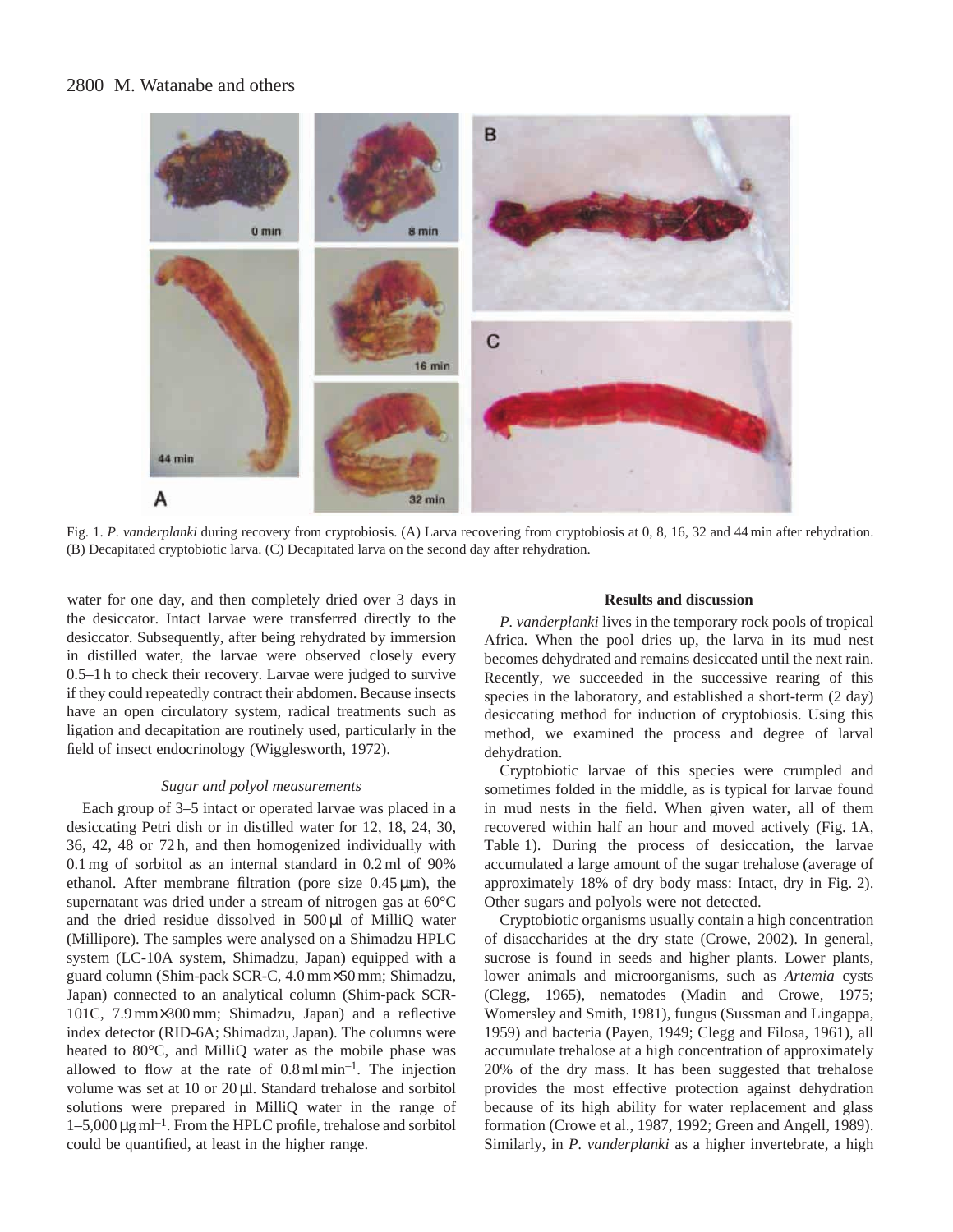# 2800 M. Watanabe and others



Fig. 1. *P. vanderplanki* during recovery from cryptobiosis. (A) Larva recovering from cryptobiosis at 0, 8, 16, 32 and 44 min after rehydration. (B) Decapitated cryptobiotic larva. (C) Decapitated larva on the second day after rehydration.

water for one day, and then completely dried over 3 days in the desiccator. Intact larvae were transferred directly to the desiccator. Subsequently, after being rehydrated by immersion in distilled water, the larvae were observed closely every 0.5–1 h to check their recovery. Larvae were judged to survive if they could repeatedly contract their abdomen. Because insects have an open circulatory system, radical treatments such as ligation and decapitation are routinely used, particularly in the field of insect endocrinology (Wigglesworth, 1972).

### *Sugar and polyol measurements*

Each group of 3–5 intact or operated larvae was placed in a desiccating Petri dish or in distilled water for 12, 18, 24, 30, 36, 42, 48 or 72 h, and then homogenized individually with 0.1 mg of sorbitol as an internal standard in 0.2 ml of 90% ethanol. After membrane filtration (pore size  $0.45 \mu m$ ), the supernatant was dried under a stream of nitrogen gas at 60°C and the dried residue dissolved in 500 µl of MilliQ water (Millipore). The samples were analysed on a Shimadzu HPLC system (LC-10A system, Shimadzu, Japan) equipped with a guard column (Shim-pack SCR-C, 4.0 mm×50 mm; Shimadzu, Japan) connected to an analytical column (Shim-pack SCR-101C, 7.9 mm×300 mm; Shimadzu, Japan) and a reflective index detector (RID-6A; Shimadzu, Japan). The columns were heated to 80°C, and MilliQ water as the mobile phase was allowed to flow at the rate of  $0.8 \text{ ml min}^{-1}$ . The injection volume was set at 10 or 20 µl. Standard trehalose and sorbitol solutions were prepared in MilliQ water in the range of  $1-5,000 \,\mathrm{\mu g\,ml^{-1}}$ . From the HPLC profile, trehalose and sorbitol could be quantified, at least in the higher range.

### **Results and discussion**

*P. vanderplanki* lives in the temporary rock pools of tropical Africa. When the pool dries up, the larva in its mud nest becomes dehydrated and remains desiccated until the next rain. Recently, we succeeded in the successive rearing of this species in the laboratory, and established a short-term (2 day) desiccating method for induction of cryptobiosis. Using this method, we examined the process and degree of larval dehydration.

Cryptobiotic larvae of this species were crumpled and sometimes folded in the middle, as is typical for larvae found in mud nests in the field. When given water, all of them recovered within half an hour and moved actively (Fig. 1A, Table 1). During the process of desiccation, the larvae accumulated a large amount of the sugar trehalose (average of approximately 18% of dry body mass: Intact, dry in Fig. 2). Other sugars and polyols were not detected.

Cryptobiotic organisms usually contain a high concentration of disaccharides at the dry state (Crowe, 2002). In general, sucrose is found in seeds and higher plants. Lower plants, lower animals and microorganisms, such as *Artemia* cysts (Clegg, 1965), nematodes (Madin and Crowe, 1975; Womersley and Smith, 1981), fungus (Sussman and Lingappa, 1959) and bacteria (Payen, 1949; Clegg and Filosa, 1961), all accumulate trehalose at a high concentration of approximately 20% of the dry mass. It has been suggested that trehalose provides the most effective protection against dehydration because of its high ability for water replacement and glass formation (Crowe et al., 1987, 1992; Green and Angell, 1989). Similarly, in *P. vanderplanki* as a higher invertebrate, a high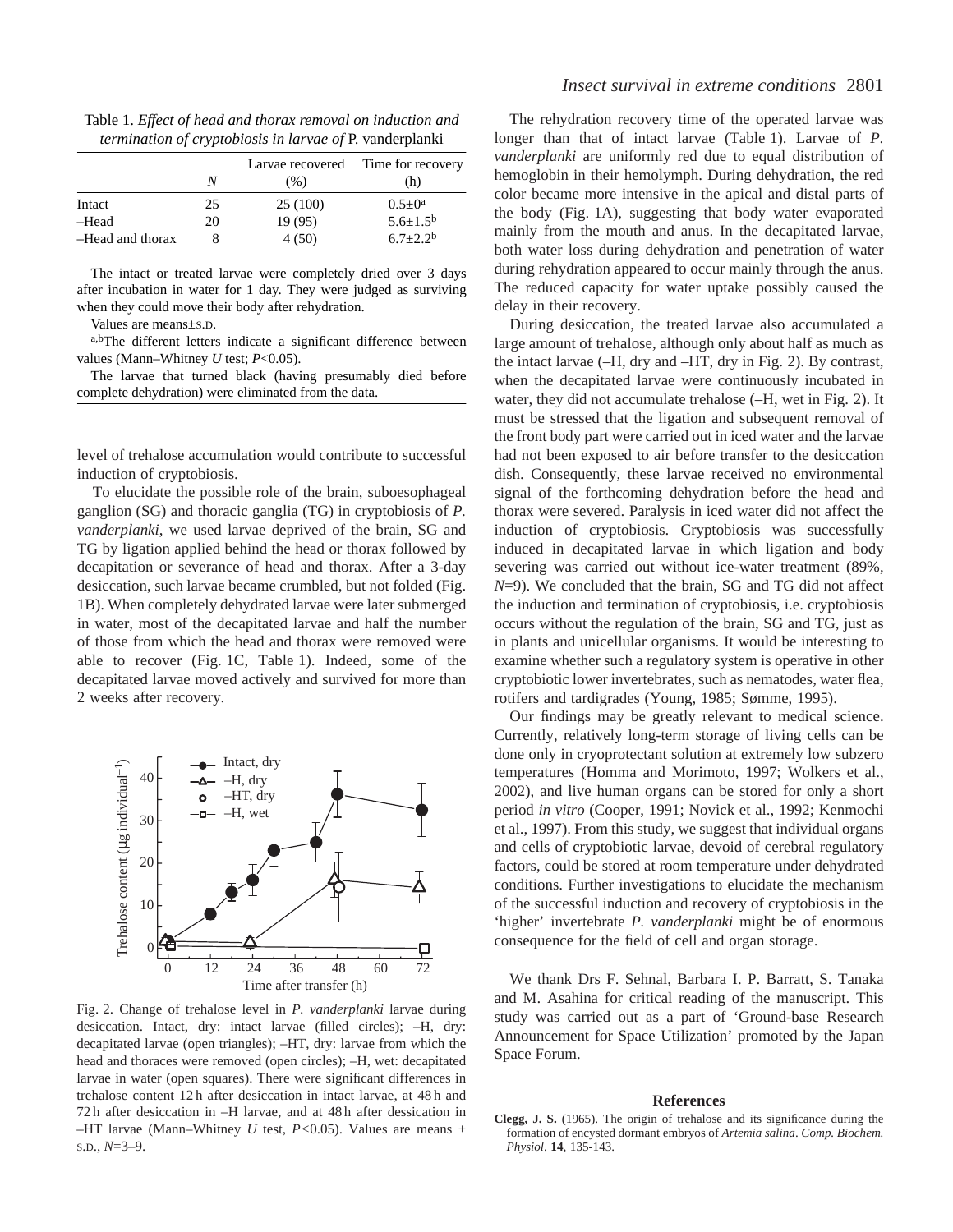Table 1. *Effect of head and thorax removal on induction and termination of cryptobiosis in larvae of* P. vanderplanki

|                  | N  | (% )     | Larvae recovered Time for recovery<br>(h) |
|------------------|----|----------|-------------------------------------------|
| Intact           | 25 | 25 (100) | $0.5 \pm 0^a$                             |
| -Head            | 20 | 19(95)   | $5.6 \pm 1.5^b$                           |
| -Head and thorax |    | 4(50)    | $6.7 + 2.2b$                              |

The intact or treated larvae were completely dried over 3 days after incubation in water for 1 day. They were judged as surviving when they could move their body after rehydration.

Values are means±S.D.

a,bThe different letters indicate a significant difference between values (Mann–Whitney *U* test; *P*<0.05).

The larvae that turned black (having presumably died before complete dehydration) were eliminated from the data.

level of trehalose accumulation would contribute to successful induction of cryptobiosis.

To elucidate the possible role of the brain, suboesophageal ganglion (SG) and thoracic ganglia (TG) in cryptobiosis of *P. vanderplanki*, we used larvae deprived of the brain, SG and TG by ligation applied behind the head or thorax followed by decapitation or severance of head and thorax. After a 3-day desiccation, such larvae became crumbled, but not folded (Fig. 1B). When completely dehydrated larvae were later submerged in water, most of the decapitated larvae and half the number of those from which the head and thorax were removed were able to recover (Fig. 1C, Table 1). Indeed, some of the decapitated larvae moved actively and survived for more than 2 weeks after recovery.



Fig. 2. Change of trehalose level in *P. vanderplanki* larvae during desiccation. Intact, dry: intact larvae (filled circles); –H, dry: decapitated larvae (open triangles); –HT, dry: larvae from which the head and thoraces were removed (open circles); –H, wet: decapitated larvae in water (open squares). There were significant differences in trehalose content 12 h after desiccation in intact larvae, at 48 h and 72 h after desiccation in –H larvae, and at 48 h after dessication in –HT larvae (Mann–Whitney *U* test,  $P < 0.05$ ). Values are means  $\pm$ S.D., *N*=3–9.

The rehydration recovery time of the operated larvae was longer than that of intact larvae (Table 1). Larvae of *P. vanderplanki* are uniformly red due to equal distribution of hemoglobin in their hemolymph. During dehydration, the red color became more intensive in the apical and distal parts of the body (Fig. 1A), suggesting that body water evaporated mainly from the mouth and anus. In the decapitated larvae, both water loss during dehydration and penetration of water during rehydration appeared to occur mainly through the anus. The reduced capacity for water uptake possibly caused the delay in their recovery.

During desiccation, the treated larvae also accumulated a large amount of trehalose, although only about half as much as the intact larvae (–H, dry and –HT, dry in Fig. 2). By contrast, when the decapitated larvae were continuously incubated in water, they did not accumulate trehalose (–H, wet in Fig. 2). It must be stressed that the ligation and subsequent removal of the front body part were carried out in iced water and the larvae had not been exposed to air before transfer to the desiccation dish. Consequently, these larvae received no environmental signal of the forthcoming dehydration before the head and thorax were severed. Paralysis in iced water did not affect the induction of cryptobiosis. Cryptobiosis was successfully induced in decapitated larvae in which ligation and body severing was carried out without ice-water treatment (89%, *N*=9). We concluded that the brain, SG and TG did not affect the induction and termination of cryptobiosis, i.e. cryptobiosis occurs without the regulation of the brain, SG and TG, just as in plants and unicellular organisms. It would be interesting to examine whether such a regulatory system is operative in other cryptobiotic lower invertebrates, such as nematodes, water flea, rotifers and tardigrades (Young, 1985; Sømme, 1995).

Our findings may be greatly relevant to medical science. Currently, relatively long-term storage of living cells can be done only in cryoprotectant solution at extremely low subzero temperatures (Homma and Morimoto, 1997; Wolkers et al., 2002), and live human organs can be stored for only a short period *in vitro* (Cooper, 1991; Novick et al., 1992; Kenmochi et al., 1997). From this study, we suggest that individual organs and cells of cryptobiotic larvae, devoid of cerebral regulatory factors, could be stored at room temperature under dehydrated conditions. Further investigations to elucidate the mechanism of the successful induction and recovery of cryptobiosis in the 'higher' invertebrate *P. vanderplanki* might be of enormous consequence for the field of cell and organ storage.

We thank Drs F. Sehnal, Barbara I. P. Barratt, S. Tanaka and M. Asahina for critical reading of the manuscript. This study was carried out as a part of 'Ground-base Research Announcement for Space Utilization' promoted by the Japan Space Forum.

### **References**

**Clegg, J. S.** (1965). The origin of trehalose and its significance during the formation of encysted dormant embryos of *Artemia salina*. *Comp. Biochem. Physiol*. **14**, 135-143.